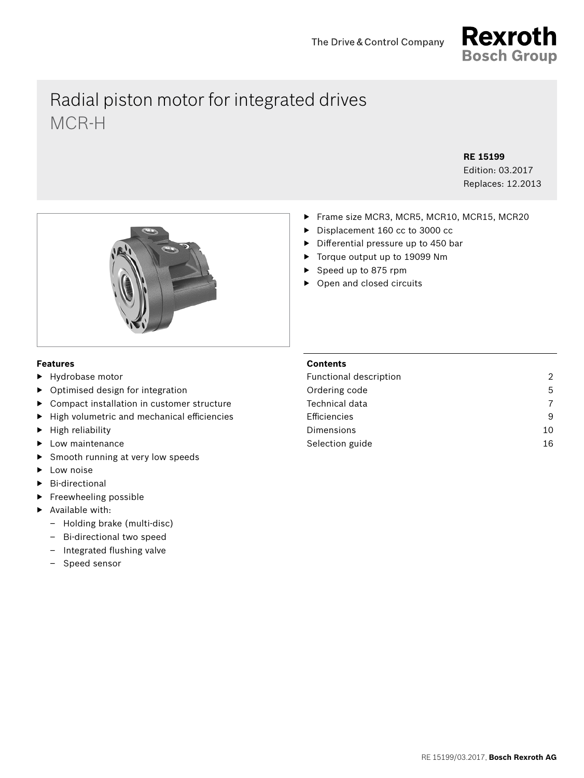

# Radial piston motor for integrated drives MCR-H

**RE 15199**

Edition: 03.2017 Replaces: 12.2013

- 
- ▶ Frame size MCR3, MCR5, MCR10, MCR15, MCR20
- ▶ Displacement 160 cc to 3000 cc
- $\triangleright$  Differential pressure up to 450 bar
- ▶ Torque output up to 19099 Nm
- ▶ Speed up to 875 rpm
- ▶ Open and closed circuits

# **Features**

- ▶ Hydrobase motor
- ▶ Optimised design for integration
- ▶ Compact installation in customer structure
- High volumetric and mechanical efficiencies
- ▶ High reliability
- **Low maintenance**
- Smooth running at very low speeds
- Low noise
- **Bi-directional**
- ▶ Freewheeling possible
- Available with:
	- Holding brake (multi-disc)
	- Bi-directional two speed
	- $-$  Integrated flushing valve
	- Speed sensor

# **Contents**

| Functional description | $\mathfrak{D}$ |
|------------------------|----------------|
| Ordering code          | 5              |
| Technical data         | 7              |
| Efficiencies           | 9              |
| Dimensions             | 10             |
| Selection guide        | 16             |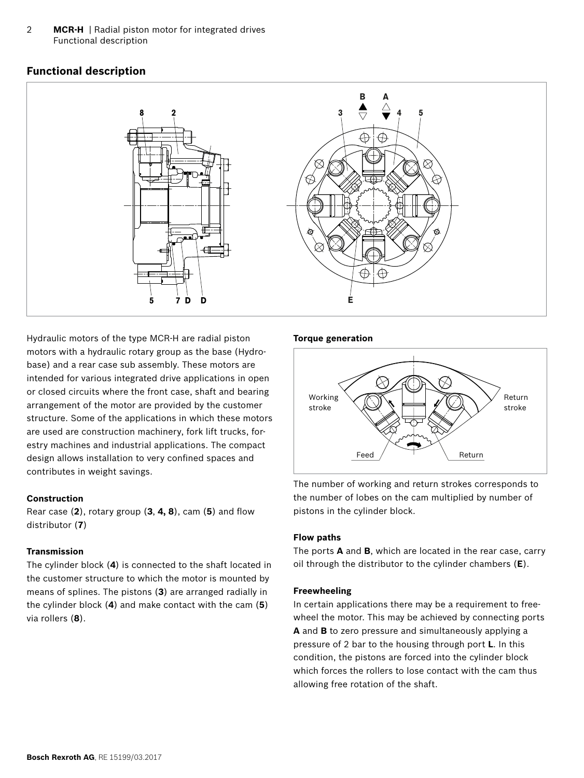2 **MCR-H** | Radial piston motor for integrated drives Functional description

# **Functional description**



Hydraulic motors of the type MCR-H are radial piston motors with a hydraulic rotary group as the base (Hydrobase) and a rear case sub assembly. These motors are intended for various integrated drive applications in open or closed circuits where the front case, shaft and bearing arrangement of the motor are provided by the customer structure. Some of the applications in which these motors are used are construction machinery, fork lift trucks, forestry machines and industrial applications. The compact design allows installation to very confined spaces and contributes in weight savings.

#### **Construction**

Rear case (2), rotary group (3, 4, 8), cam (5) and flow distributor (**7**)

# **Transmission**

The cylinder block (**4**) is connected to the shaft located in the customer structure to which the motor is mounted by means of splines. The pistons (**3**) are arranged radially in the cylinder block (**4**) and make contact with the cam (**5**) via rollers (**8**).

#### **Torque generation**



The number of working and return strokes corresponds to the number of lobes on the cam multiplied by number of pistons in the cylinder block.

#### **Flow paths**

The ports **A** and **B**, which are located in the rear case, carry oil through the distributor to the cylinder chambers (**E**).

#### **Freewheeling**

In certain applications there may be a requirement to freewheel the motor. This may be achieved by connecting ports **A** and **B** to zero pressure and simultaneously applying a pressure of 2 bar to the housing through port **L**. In this condition, the pistons are forced into the cylinder block which forces the rollers to lose contact with the cam thus allowing free rotation of the shaft.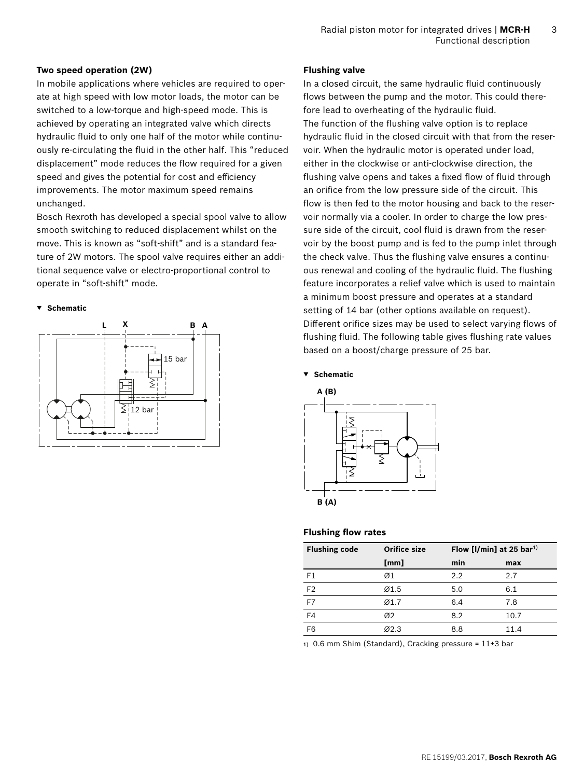#### **Two speed operation (2W)**

In mobile applications where vehicles are required to operate at high speed with low motor loads, the motor can be switched to a low-torque and high-speed mode. This is achieved by operating an integrated valve which directs hydraulic fluid to only one half of the motor while continuously re-circulating the fluid in the other half. This "reduced displacement" mode reduces the flow required for a given speed and gives the potential for cost and efficiency improvements. The motor maximum speed remains unchanged.

Bosch Rexroth has developed a special spool valve to allow smooth switching to reduced displacement whilst on the move. This is known as "soft-shift" and is a standard feature of 2W motors. The spool valve requires either an additional sequence valve or electro-proportional control to operate in "soft-shift" mode.

#### **▼ Schematic**



#### **Flushing valve**

In a closed circuit, the same hydraulic fluid continuously flows between the pump and the motor. This could therefore lead to overheating of the hydraulic fluid. The function of the flushing valve option is to replace hydraulic fluid in the closed circuit with that from the reservoir. When the hydraulic motor is operated under load, either in the clockwise or anti-clockwise direction, the flushing valve opens and takes a fixed flow of fluid through an orifice from the low pressure side of the circuit. This flow is then fed to the motor housing and back to the reservoir normally via a cooler. In order to charge the low pressure side of the circuit, cool fluid is drawn from the reservoir by the boost pump and is fed to the pump inlet through the check valve. Thus the flushing valve ensures a continuous renewal and cooling of the hydraulic fluid. The flushing feature incorporates a relief valve which is used to maintain a minimum boost pressure and operates at a standard setting of 14 bar (other options available on request). Different orifice sizes may be used to select varying flows of flushing fluid. The following table gives flushing rate values based on a boost/charge pressure of 25 bar.

**▼ Schematic**



#### **Flushing flow rates**

| <b>Flushing code</b> | <b>Orifice size</b> | Flow [I/min] at 25 bar <sup>1)</sup> |      |
|----------------------|---------------------|--------------------------------------|------|
|                      | [mm]                | min                                  | max  |
| F <sub>1</sub>       | Ø1                  | 2.2                                  | 2.7  |
| F <sub>2</sub>       | Ø1.5                | 5.0                                  | 6.1  |
| F7                   | Ø1.7                | 6.4                                  | 7.8  |
| F4                   | Ø2                  | 8.2                                  | 10.7 |
| F <sub>6</sub>       | Ø2.3                | 8.8                                  | 11.4 |

1) 0.6 mm Shim (Standard), Cracking pressure =  $11\pm3$  bar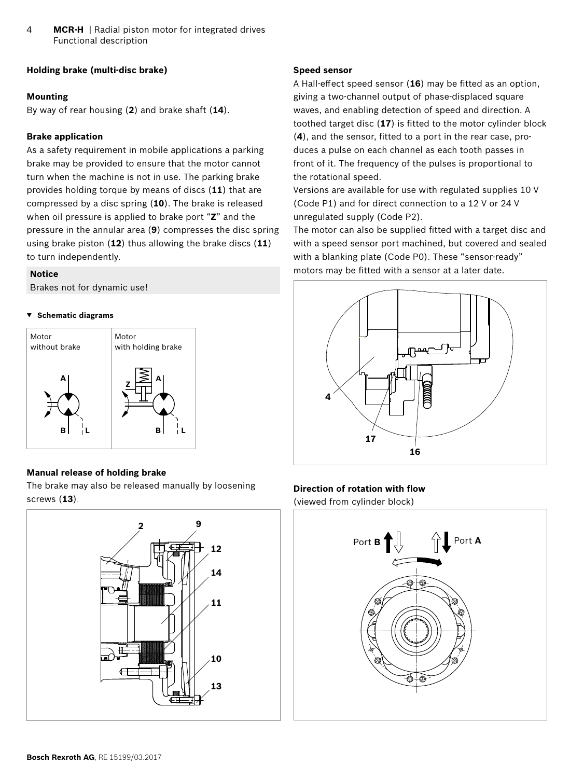4 **MCR-H** | Radial piston motor for integrated drives Functional description

# **Holding brake (multi-disc brake)**

#### **Mounting**

By way of rear housing (**2**) and brake shaft (**14**).

# **Brake application**

As a safety requirement in mobile applications a parking brake may be provided to ensure that the motor cannot turn when the machine is not in use. The parking brake provides holding torque by means of discs (**11**) that are compressed by a disc spring (**10**). The brake is released when oil pressure is applied to brake port "**Z**" and the pressure in the annular area (**9**) compresses the disc spring using brake piston (**12**) thus allowing the brake discs (**11**) to turn independently.

#### **Notice**

Brakes not for dynamic use!

#### **▼ Schematic diagrams**



# **Manual release of holding brake**

The brake may also be released manually by loosening screws (**13**).



#### **Speed sensor**

A Hall-effect speed sensor (16) may be fitted as an option, giving a two-channel output of phase-displaced square waves, and enabling detection of speed and direction. A toothed target disc (17) is fitted to the motor cylinder block (4), and the sensor, fitted to a port in the rear case, produces a pulse on each channel as each tooth passes in front of it. The frequency of the pulses is proportional to the rotational speed.

Versions are available for use with regulated supplies 10 V (Code P1) and for direct connection to a 12 V or 24 V unregulated supply (Code P2).

The motor can also be supplied fitted with a target disc and with a speed sensor port machined, but covered and sealed with a blanking plate (Code P0). These "sensor-ready" motors may be fitted with a sensor at a later date.



#### **Direction of rotation with flow**

(viewed from cylinder block)

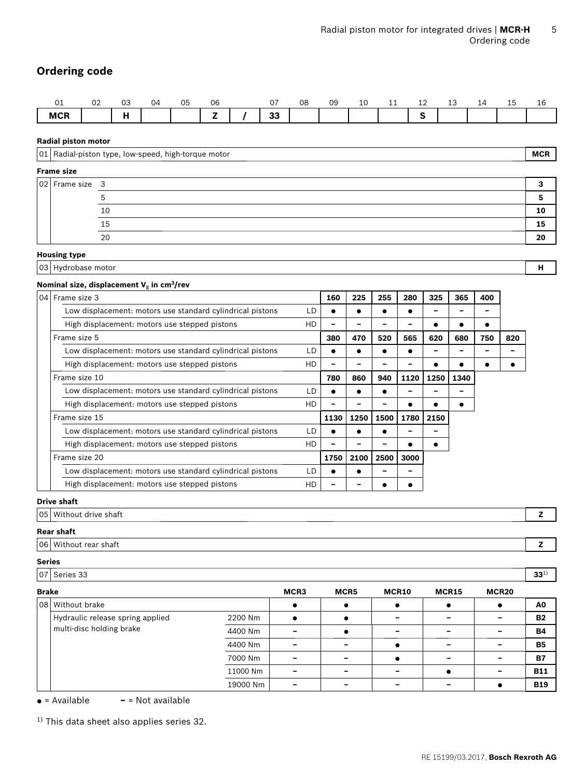# **Ordering code**

| ⌒.<br>ັ    | $\sim$<br>∪∠ | u.               | $\overline{11}$ | 05 | 06                    | $\sim$ $\rightarrow$ | 08 | 09 | ᅩ | -- | -- | -- | <b>++</b> | ∸∸ | ᅩ |
|------------|--------------|------------------|-----------------|----|-----------------------|----------------------|----|----|---|----|----|----|-----------|----|---|
| <b>MCR</b> |              | -1.1<br>г<br>. . |                 |    | <b>STATE OF GROOM</b> | $\sim$<br>u          |    |    |   |    |    |    |           |    |   |

**Radial piston motor**

|                     | 01 Radial-piston type, low-speed, high-torque motor | <b>MCR</b> |
|---------------------|-----------------------------------------------------|------------|
| <b>Frame size</b>   |                                                     |            |
| $ 02 $ Frame size 3 |                                                     |            |
|                     |                                                     |            |
|                     | 10                                                  | 10         |
|                     | 15                                                  | 15         |
|                     | 20                                                  | 20         |

#### **Housing type**

03 Hydrobase motor **H**

#### **Nominal size, displacement V**g **in cm3/rev**

| 04 | l Frame size 3                                            |    | 160  | 225  | 255  | 280  | 325  | 365  | 400 |     |
|----|-----------------------------------------------------------|----|------|------|------|------|------|------|-----|-----|
|    | Low displacement: motors use standard cylindrical pistons |    |      |      |      |      |      |      |     |     |
|    | High displacement: motors use stepped pistons             |    |      |      |      |      |      |      |     |     |
|    | Frame size 5                                              |    | 380  | 470  | 520  | 565  | 620  | 680  | 750 | 820 |
|    | Low displacement: motors use standard cylindrical pistons | LD |      |      |      |      |      |      |     |     |
|    | High displacement: motors use stepped pistons             | HD |      |      |      |      |      |      |     |     |
|    | Frame size 10                                             |    | 780  | 860  | 940  | 1120 | 1250 | 1340 |     |     |
|    | Low displacement: motors use standard cylindrical pistons | LD |      |      |      |      |      |      |     |     |
|    | High displacement: motors use stepped pistons             | HD |      |      |      |      |      |      |     |     |
|    | Frame size 15                                             |    | 1130 | 1250 | 1500 | 1780 | 2150 |      |     |     |
|    | Low displacement: motors use standard cylindrical pistons | LD |      |      |      |      |      |      |     |     |
|    | High displacement: motors use stepped pistons             | HD |      |      |      |      |      |      |     |     |
|    | Frame size 20                                             |    | 1750 | 2100 | 2500 | 3000 |      |      |     |     |
|    | Low displacement: motors use standard cylindrical pistons | LD |      |      |      |      |      |      |     |     |
|    | High displacement: motors use stepped pistons             | HD |      |      |      |      |      |      |     |     |

## **Drive shaft**

05 Without drive shaft **Z**

## **Rear shaft**

| 06   Without rear shaft |
|-------------------------|
|-------------------------|

### **Series**

07 Series 33 **33**1)

| <b>Brake</b> |                                  |          | MCR3 | MCR5                     | MCR10 | MCR15 | MCR <sub>20</sub>        |            |
|--------------|----------------------------------|----------|------|--------------------------|-------|-------|--------------------------|------------|
|              | 08 Without brake                 |          |      |                          |       |       |                          | A0         |
|              | Hydraulic release spring applied | 2200 Nm  |      |                          |       |       | $\overline{\phantom{0}}$ | <b>B2</b>  |
|              | multi-disc holding brake         | 4400 Nm  |      |                          |       |       | $\overline{\phantom{0}}$ | <b>B4</b>  |
|              |                                  | 4400 Nm  |      | $\overline{\phantom{0}}$ |       |       | -                        | <b>B5</b>  |
|              |                                  | 7000 Nm  |      | $\overline{\phantom{0}}$ |       |       | $\overline{\phantom{0}}$ | <b>B7</b>  |
|              |                                  | 11000 Nm | -    | $\equiv$                 |       |       | $\overline{\phantom{0}}$ | <b>B11</b> |
|              |                                  | 19000 Nm |      |                          |       |       |                          | <b>B19</b> |

● = Available **–** = Not available

 $1)$  This data sheet also applies series 32.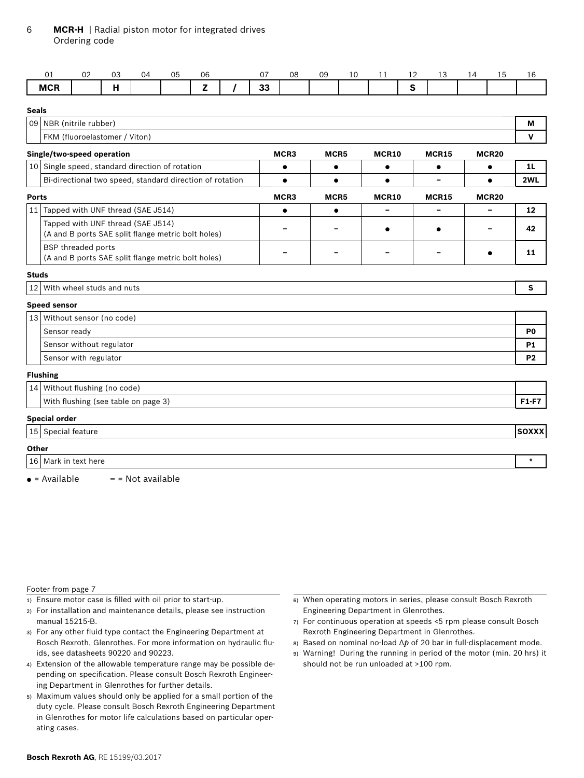# 6 **MCR-H** | Radial piston motor for integrated drives Ordering code

|              | 01                                                                                      | 02                    | 03                            | 04                                                       | 05 | 06           |  | 07 | 08        | 09        | 10 | 11        | 12 | 13           | 14 | 15           | 16             |
|--------------|-----------------------------------------------------------------------------------------|-----------------------|-------------------------------|----------------------------------------------------------|----|--------------|--|----|-----------|-----------|----|-----------|----|--------------|----|--------------|----------------|
|              | <b>MCR</b>                                                                              |                       | H                             |                                                          |    | $\mathbf{Z}$ |  | 33 |           |           |    |           | S  |              |    |              |                |
| <b>Seals</b> |                                                                                         |                       |                               |                                                          |    |              |  |    |           |           |    |           |    |              |    |              |                |
|              | 09 NBR (nitrile rubber)                                                                 |                       |                               |                                                          |    |              |  |    |           |           |    |           |    |              |    |              | M              |
|              |                                                                                         |                       | FKM (fluoroelastomer / Viton) |                                                          |    |              |  |    |           |           |    |           |    |              |    |              | v              |
|              | Single/two-speed operation                                                              |                       |                               |                                                          |    |              |  |    | MCR3      | MCR5      |    | MCR10     |    | <b>MCR15</b> |    | <b>MCR20</b> |                |
|              |                                                                                         |                       |                               | 10 Single speed, standard direction of rotation          |    |              |  |    | $\bullet$ | $\bullet$ |    | $\bullet$ |    | $\bullet$    |    | $\bullet$    | 1L             |
|              |                                                                                         |                       |                               | Bi-directional two speed, standard direction of rotation |    |              |  |    | $\bullet$ | $\bullet$ |    | $\bullet$ |    | $\equiv$     |    | $\bullet$    | 2WL            |
| <b>Ports</b> |                                                                                         |                       |                               |                                                          |    |              |  |    | MCR3      | MCR5      |    | MCR10     |    | <b>MCR15</b> |    | MCR20        |                |
|              |                                                                                         |                       |                               | 11 Tapped with UNF thread (SAE J514)                     |    |              |  |    | $\bullet$ | $\bullet$ |    |           |    |              |    |              | 12             |
|              | Tapped with UNF thread (SAE J514)<br>(A and B ports SAE split flange metric bolt holes) |                       |                               |                                                          |    |              |  |    |           |           |    |           |    |              |    |              | 42             |
|              | <b>BSP</b> threaded ports<br>(A and B ports SAE split flange metric bolt holes)         |                       |                               |                                                          |    |              |  |    |           |           |    |           |    |              |    |              |                |
| <b>Studs</b> |                                                                                         |                       |                               |                                                          |    |              |  |    |           |           |    |           |    |              |    |              |                |
|              | 12 With wheel studs and nuts                                                            |                       |                               |                                                          |    |              |  |    |           |           |    |           |    |              |    |              | S              |
|              | <b>Speed sensor</b>                                                                     |                       |                               |                                                          |    |              |  |    |           |           |    |           |    |              |    |              |                |
|              | 13 Without sensor (no code)                                                             |                       |                               |                                                          |    |              |  |    |           |           |    |           |    |              |    |              |                |
|              | Sensor ready                                                                            |                       |                               |                                                          |    |              |  |    |           |           |    |           |    |              |    |              | P <sub>0</sub> |
|              |                                                                                         |                       | Sensor without regulator      |                                                          |    |              |  |    |           |           |    |           |    |              |    |              | <b>P1</b>      |
|              |                                                                                         | Sensor with regulator |                               |                                                          |    |              |  |    |           |           |    |           |    |              |    |              | <b>P2</b>      |
|              | <b>Flushing</b>                                                                         |                       |                               |                                                          |    |              |  |    |           |           |    |           |    |              |    |              |                |
|              | 14 Without flushing (no code)                                                           |                       |                               |                                                          |    |              |  |    |           |           |    |           |    |              |    |              |                |
|              |                                                                                         |                       |                               | With flushing (see table on page 3)                      |    |              |  |    |           |           |    |           |    |              |    |              | $F1-F7$        |
|              | <b>Special order</b>                                                                    |                       |                               |                                                          |    |              |  |    |           |           |    |           |    |              |    |              |                |
|              | 15 Special feature                                                                      |                       |                               |                                                          |    |              |  |    |           |           |    |           |    |              |    |              | <b>SOXXX</b>   |
| Other        |                                                                                         |                       |                               |                                                          |    |              |  |    |           |           |    |           |    |              |    |              |                |
|              | 16 Mark in text here                                                                    |                       |                               |                                                          |    |              |  |    |           |           |    |           |    |              |    |              | $\star$        |
|              | $\bullet$ = Available                                                                   |                       |                               | $-$ = Not available                                      |    |              |  |    |           |           |    |           |    |              |    |              |                |

#### Footer from page 7

- 1) Ensure motor case is filled with oil prior to start-up.
- 2) For installation and maintenance details, please see instruction manual 15215-B.
- 3) For any other fluid type contact the Engineering Department at Bosch Rexroth, Glenrothes. For more information on hydraulic fluids, see datasheets 90220 and 90223.
- 4) Extension of the allowable temperature range may be possible depending on specification. Please consult Bosch Rexroth Engineering Department in Glenrothes for further details.
- 5) Maximum values should only be applied for a small portion of the duty cycle. Please consult Bosch Rexroth Engineering Department in Glenrothes for motor life calculations based on particular operating cases.
- 6) When operating motors in series, please consult Bosch Rexroth Engineering Department in Glenrothes.
- 7) For continuous operation at speeds <5 rpm please consult Bosch Rexroth Engineering Department in Glenrothes.
- 8) Based on nominal no-load Δ*p* of 20 bar in full-displacement mode.
- 9) Warning! During the running in period of the motor (min. 20 hrs) it should not be run unloaded at >100 rpm.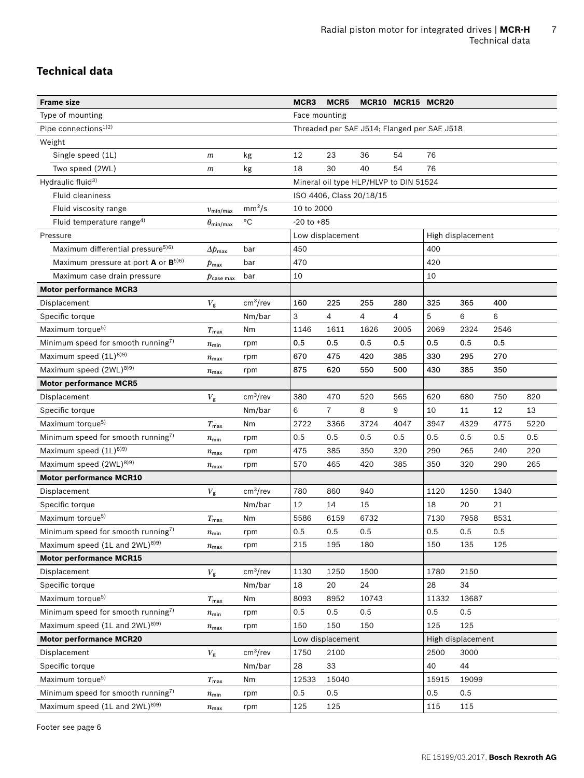# **Technical data**

| <b>Frame size</b>                              |                                       |                      | MCR3           | MCR <sub>5</sub>         |                                             | MCR10 MCR15 MCR20 |       |                   |      |      |
|------------------------------------------------|---------------------------------------|----------------------|----------------|--------------------------|---------------------------------------------|-------------------|-------|-------------------|------|------|
| Type of mounting                               |                                       |                      | Face mounting  |                          |                                             |                   |       |                   |      |      |
| Pipe connections <sup>1)2)</sup>               |                                       |                      |                |                          | Threaded per SAE J514; Flanged per SAE J518 |                   |       |                   |      |      |
| Weight                                         |                                       |                      |                |                          |                                             |                   |       |                   |      |      |
| Single speed (1L)                              | m                                     | kg                   | 12             | 23                       | 36                                          | 54                | 76    |                   |      |      |
| Two speed (2WL)                                | m                                     | kg                   | 18             | 30                       | 40                                          | 54                | 76    |                   |      |      |
| Hydraulic fluid <sup>3)</sup>                  |                                       |                      |                |                          | Mineral oil type HLP/HLVP to DIN 51524      |                   |       |                   |      |      |
| <b>Fluid cleaniness</b>                        |                                       |                      |                | ISO 4406, Class 20/18/15 |                                             |                   |       |                   |      |      |
| Fluid viscosity range                          | $v_{\text{min/max}}$                  | mm <sup>2</sup> /s   | 10 to 2000     |                          |                                             |                   |       |                   |      |      |
| Fluid temperature range <sup>4)</sup>          | $\theta_{\rm min/max}$                | °C                   | $-20$ to $+85$ |                          |                                             |                   |       |                   |      |      |
| Pressure                                       |                                       |                      |                | Low displacement         |                                             |                   |       | High displacement |      |      |
| Maximum differential pressure <sup>5)6)</sup>  | $\Delta p_{\rm max}$                  | bar                  | 450            |                          |                                             |                   | 400   |                   |      |      |
| Maximum pressure at port <b>A</b> or $B^{5/6}$ | $p_{\mathsf{max}}$                    | bar                  | 470            |                          |                                             |                   | 420   |                   |      |      |
| Maximum case drain pressure                    | $\boldsymbol{p}_{\mathsf{case\ max}}$ | bar                  | 10             |                          |                                             |                   | 10    |                   |      |      |
| <b>Motor performance MCR3</b>                  |                                       |                      |                |                          |                                             |                   |       |                   |      |      |
| Displacement                                   | $V_{\rm g}$                           | cm <sup>3</sup> /rev | 160            | 225                      | 255                                         | 280               | 325   | 365               | 400  |      |
| Specific torque                                |                                       | Nm/bar               | 3              | 4                        | 4                                           | 4                 | 5     | 6                 | 6    |      |
| Maximum torque <sup>5)</sup>                   | $T_{\sf max}$                         | Nm                   | 1146           | 1611                     | 1826                                        | 2005              | 2069  | 2324              | 2546 |      |
| Minimum speed for smooth running7)             | $n_{\min}$                            | rpm                  | 0.5            | 0.5                      | 0.5                                         | 0.5               | 0.5   | 0.5               | 0.5  |      |
| Maximum speed (1L) <sup>8)9)</sup>             | $n_{\text{max}}$                      | rpm                  | 670            | 475                      | 420                                         | 385               | 330   | 295               | 270  |      |
| Maximum speed (2WL) <sup>8)9)</sup>            | $n_{\text{max}}$                      | rpm                  | 875            | 620                      | 550                                         | 500               | 430   | 385               | 350  |      |
| <b>Motor performance MCR5</b>                  |                                       |                      |                |                          |                                             |                   |       |                   |      |      |
| Displacement                                   | $V_{\rm g}$                           | cm <sup>3</sup> /rev | 380            | 470                      | 520                                         | 565               | 620   | 680               | 750  | 820  |
| Specific torque                                |                                       | Nm/bar               | 6              | $\overline{7}$           | 8                                           | 9                 | 10    | 11                | 12   | 13   |
| Maximum torque <sup>5)</sup>                   | $T_{\sf max}$                         | Nm                   | 2722           | 3366                     | 3724                                        | 4047              | 3947  | 4329              | 4775 | 5220 |
| Minimum speed for smooth running7)             | $n_{\min}$                            | rpm                  | 0.5            | 0.5                      | 0.5                                         | 0.5               | 0.5   | 0.5               | 0.5  | 0.5  |
| Maximum speed (1L) <sup>8)9)</sup>             | $n_{\text{max}}$                      | rpm                  | 475            | 385                      | 350                                         | 320               | 290   | 265               | 240  | 220  |
| Maximum speed (2WL) <sup>8)9)</sup>            | $n_{\text{max}}$                      | rpm                  | 570            | 465                      | 420                                         | 385               | 350   | 320               | 290  | 265  |
| <b>Motor performance MCR10</b>                 |                                       |                      |                |                          |                                             |                   |       |                   |      |      |
| Displacement                                   | $V_{\rm g}$                           | cm <sup>3</sup> /rev | 780            | 860                      | 940                                         |                   | 1120  | 1250              | 1340 |      |
| Specific torque                                |                                       | Nm/bar               | 12             | 14                       | 15                                          |                   | 18    | 20                | 21   |      |
| Maximum torque <sup>5)</sup>                   | $T_{\sf max}$                         | Nm                   | 5586           | 6159                     | 6732                                        |                   | 7130  | 7958              | 8531 |      |
| Minimum speed for smooth running7)             | $n_{\min}$                            | rpm                  | 0.5            | 0.5                      | 0.5                                         |                   | 0.5   | 0.5               | 0.5  |      |
| Maximum speed (1L and 2WL) <sup>8)9)</sup>     | $n_{\text{max}}$                      | rpm                  | 215            | 195                      | 180                                         |                   | 150   | 135               | 125  |      |
| <b>Motor performance MCR15</b>                 |                                       |                      |                |                          |                                             |                   |       |                   |      |      |
| Displacement                                   | $V_{\tt g}$                           | cm <sup>3</sup> /rev | 1130           | 1250                     | 1500                                        |                   | 1780  | 2150              |      |      |
| Specific torque                                |                                       | Nm/bar               | 18             | 20                       | 24                                          |                   | 28    | 34                |      |      |
| Maximum torque <sup>5)</sup>                   | $T_{\sf max}$                         | Nm                   | 8093           | 8952                     | 10743                                       |                   | 11332 | 13687             |      |      |
| Minimum speed for smooth running7)             | $n_{\rm min}$                         | rpm                  | 0.5            | 0.5                      | 0.5                                         |                   | 0.5   | 0.5               |      |      |
| Maximum speed (1L and 2WL) <sup>8)9)</sup>     | $n_{\rm max}$                         | rpm                  | 150            | 150                      | 150                                         |                   | 125   | 125               |      |      |
| <b>Motor performance MCR20</b>                 |                                       |                      |                | Low displacement         |                                             |                   |       | High displacement |      |      |
| Displacement                                   | $V_{\rm g}$                           | cm <sup>3</sup> /rev | 1750           | 2100                     |                                             |                   | 2500  | 3000              |      |      |
| Specific torque                                |                                       | Nm/bar               | 28             | 33                       |                                             |                   | 40    | 44                |      |      |
| Maximum torque <sup>5)</sup>                   | $T_{\sf max}$                         | Nm                   | 12533          | 15040                    |                                             |                   | 15915 | 19099             |      |      |
| Minimum speed for smooth running7)             | $n_{\min}$                            | rpm                  | 0.5            | 0.5                      |                                             |                   | 0.5   | 0.5               |      |      |
| Maximum speed (1L and 2WL) <sup>8)9)</sup>     | $n_{\text{max}}$                      | rpm                  | 125            | 125                      |                                             |                   | 115   | 115               |      |      |

Footer see page 6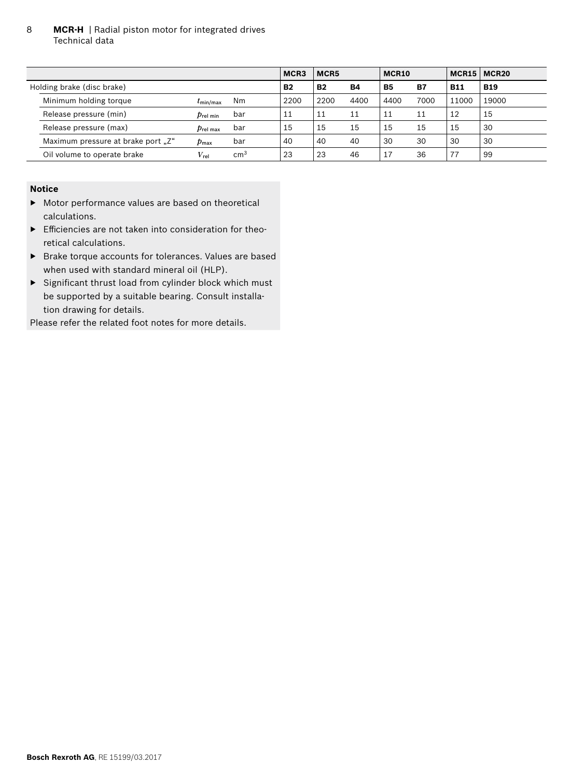8 **MCR-H** | Radial piston motor for integrated drives Technical data

|                                    |                                 |                 | MCR <sub>3</sub> | MCR5      |           | MCR <sub>10</sub> |           | MCR15      | MCR <sub>20</sub> |
|------------------------------------|---------------------------------|-----------------|------------------|-----------|-----------|-------------------|-----------|------------|-------------------|
| Holding brake (disc brake)         |                                 |                 | <b>B2</b>        | <b>B2</b> | <b>B4</b> | <b>B5</b>         | <b>B7</b> | <b>B11</b> | <b>B19</b>        |
| Minimum holding torque             | $t_{\rm min/max}$               | N <sub>m</sub>  | 2200             | 2200      | 4400      | 4400              | 7000      | 11000      | 19000             |
| Release pressure (min)             | $p_{\sf rel \; min}$            | bar             | 11               | 11        | 11        | 11                |           | 12         | 15                |
| Release pressure (max)             | $p_{\rm rel \, max}$            | bar             | 15               | 15        | 15        | 15                | 15        | 15         | 30                |
| Maximum pressure at brake port "Z" | $\boldsymbol{p}_{\mathsf{max}}$ | bar             | 40               | 40        | 40        | 30                | 30        | 30         | 30                |
| Oil volume to operate brake        | $V_{\rm rel}$                   | cm <sup>3</sup> | 23               | 23        | 46        |                   | 36        | 77         | 99                |

#### **Notice**

- ▶ Motor performance values are based on theoretical calculations.
- $\blacktriangleright$  Efficiencies are not taken into consideration for theoretical calculations.
- ▶ Brake torque accounts for tolerances. Values are based when used with standard mineral oil (HLP).
- $\triangleright$  Significant thrust load from cylinder block which must be supported by a suitable bearing. Consult installation drawing for details.

Please refer the related foot notes for more details.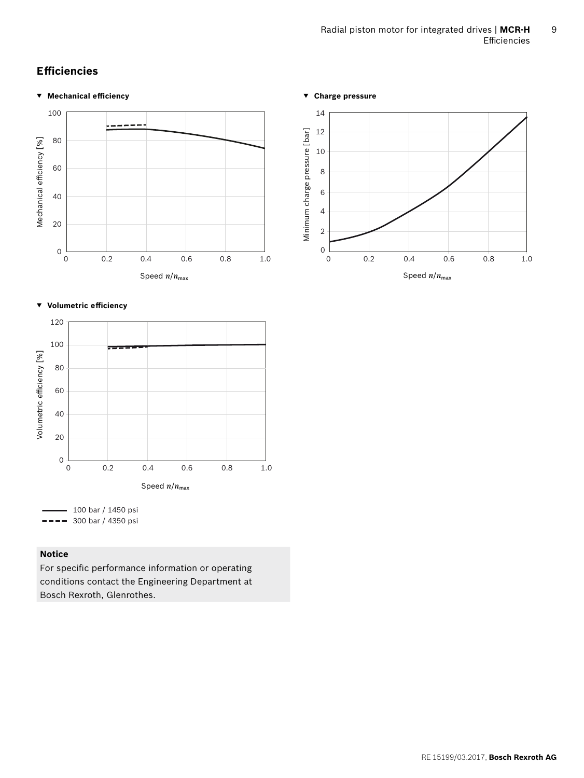# **Effi ciencies**

## **▼ Mechanical effi ciency**



#### **▼ Volumetric effi ciency**



# **Notice**

For specific performance information or operating conditions contact the Engineering Department at Bosch Rexroth, Glenrothes.

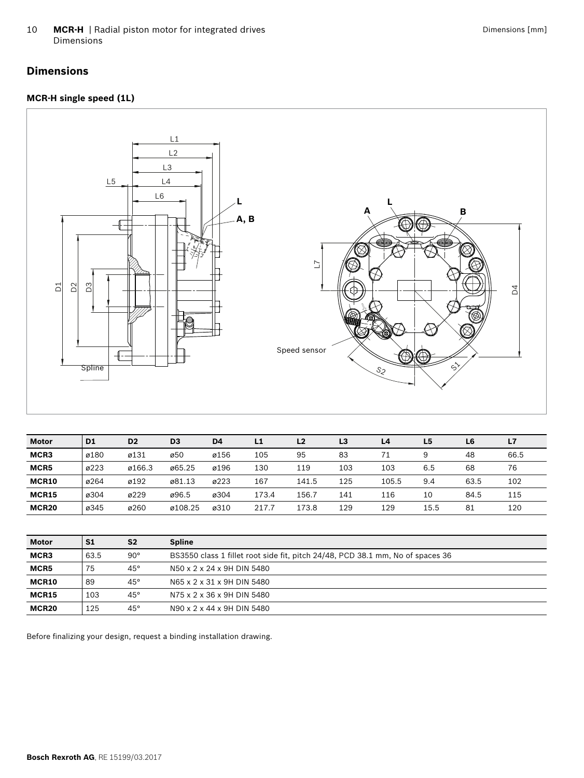10 **MCR-H** | Radial piston motor for integrated drives Dimensions

# **Dimensions**

# **MCR-H single speed (1L)**



| <b>Motor</b>      | D <sub>1</sub> | D <sub>2</sub> | D <sub>3</sub> | D <sub>4</sub> | L1    | L <sub>2</sub> | L <sub>3</sub> | L4    | L <sub>5</sub> | L <sub>6</sub> | L7   |
|-------------------|----------------|----------------|----------------|----------------|-------|----------------|----------------|-------|----------------|----------------|------|
| MCR3              | ø180           | ø131           | ø50            | ø156           | 105   | 95             | 83             | 71    | 9              | 48             | 66.5 |
| MCR5              | ø223           | ø166.3         | ø65.25         | ø196           | 130   | 119            | 103            | 103   | 6.5            | 68             | 76   |
| MCR10             | ø264           | ø192           | ø81.13         | ø223           | 167   | 141.5          | 125            | 105.5 | 9.4            | 63.5           | 102  |
| <b>MCR15</b>      | ø304           | ø229           | ø96.5          | ø304           | 173.4 | 156.7          | 141            | 116   | 10             | 84.5           | 115  |
| MCR <sub>20</sub> | ø345           | ø260           | ø108.25        | ø310           | 217.7 | 173.8          | 129            | 129   | 15.5           | 81             | 120  |

| <b>Motor</b> | S1   | S <sub>2</sub> | <b>Spline</b>                                                                  |
|--------------|------|----------------|--------------------------------------------------------------------------------|
| MCR3         | 63.5 | $90^{\circ}$   | BS3550 class 1 fillet root side fit, pitch 24/48, PCD 38.1 mm, No of spaces 36 |
| MCR5         | 75   | $45^{\circ}$   | N50 x 2 x 24 x 9H DIN 5480                                                     |
| MCR10        | 89   | $45^{\circ}$   | N65 x 2 x 31 x 9H DIN 5480                                                     |
| MCR15        | 103  | $45^\circ$     | N75 x 2 x 36 x 9H DIN 5480                                                     |
| MCR20        | 125  | $45^{\circ}$   | N90 x 2 x 44 x 9H DIN 5480                                                     |

Before finalizing your design, request a binding installation drawing.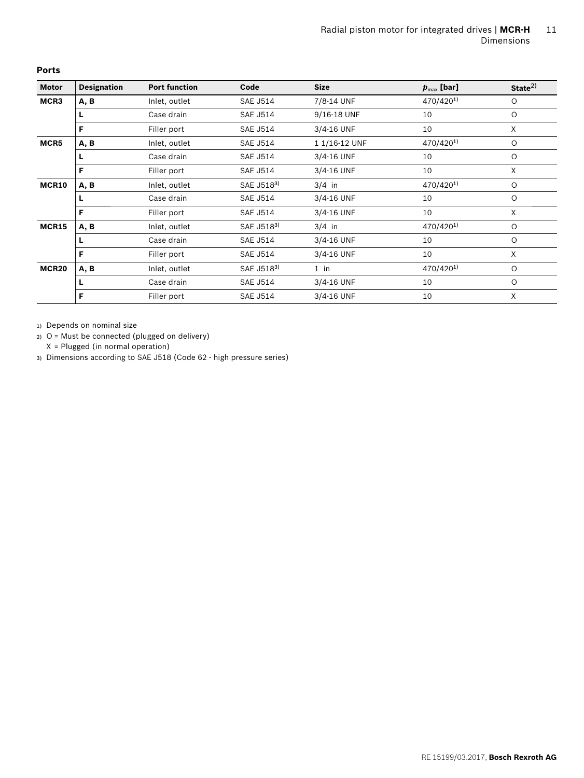| <b>Motor</b>      | <b>Designation</b> | <b>Port function</b> | Code            | <b>Size</b>   | $p_{\text{max}}$ [bar] | State <sup>2</sup> |
|-------------------|--------------------|----------------------|-----------------|---------------|------------------------|--------------------|
| MCR3              | A, B               | Inlet, outlet        | <b>SAE J514</b> | 7/8-14 UNF    | 470/4201)              | $\circ$            |
|                   | L                  | Case drain           | <b>SAE J514</b> | 9/16-18 UNF   | 10                     | $\circ$            |
|                   | F                  | Filler port          | <b>SAE J514</b> | 3/4-16 UNF    | 10                     | X                  |
| MCR5              | A, B               | Inlet, outlet        | <b>SAE J514</b> | 1 1/16-12 UNF | 470/4201)              | $\circ$            |
|                   | L                  | Case drain           | <b>SAE J514</b> | 3/4-16 UNF    | 10                     | $\circ$            |
|                   | F                  | Filler port          | <b>SAE J514</b> | 3/4-16 UNF    | 10                     | X                  |
| MCR10             | A, B               | Inlet, outlet        | SAE J5183)      | $3/4$ in      | 470/4201)              | $\circ$            |
|                   | L                  | Case drain           | <b>SAE J514</b> | 3/4-16 UNF    | 10                     | $\circ$            |
|                   | F                  | Filler port          | <b>SAE J514</b> | 3/4-16 UNF    | 10                     | X                  |
| <b>MCR15</b>      | A, B               | Inlet, outlet        | SAE J5183)      | $3/4$ in      | 470/4201)              | $\circ$            |
|                   | L                  | Case drain           | <b>SAE J514</b> | 3/4-16 UNF    | 10                     | $\circ$            |
|                   | F                  | Filler port          | <b>SAE J514</b> | 3/4-16 UNF    | 10                     | X                  |
| MCR <sub>20</sub> | A, B               | Inlet, outlet        | SAE J5183)      | $1$ in        | 470/4201)              | $\circ$            |
|                   | L                  | Case drain           | <b>SAE J514</b> | 3/4-16 UNF    | 10                     | $\circ$            |
|                   | F                  | Filler port          | <b>SAE J514</b> | 3/4-16 UNF    | 10                     | X                  |

**Ports**

1) Depends on nominal size

2) O = Must be connected (plugged on delivery)

X = Plugged (in normal operation)

3) Dimensions according to SAE J518 (Code 62 - high pressure series)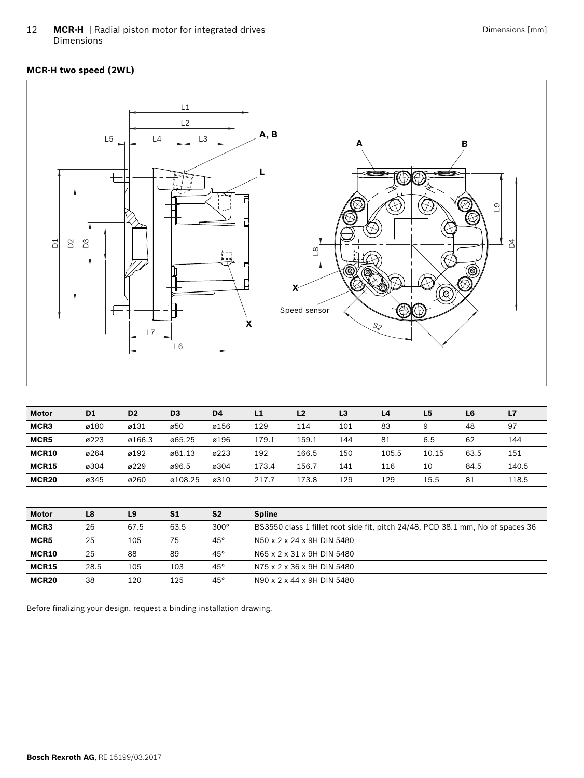12 **MCR-H** | Radial piston motor for integrated drives Dimensions

# **MCR-H two speed (2WL)**



| <b>Motor</b>      | D <sub>1</sub> | D <sub>2</sub> | D <sub>3</sub> | D <sub>4</sub> | L1    | L <sub>2</sub> | L3  | L4    | L <sub>5</sub> | L6   | L7    |
|-------------------|----------------|----------------|----------------|----------------|-------|----------------|-----|-------|----------------|------|-------|
| MCR3              | ø180           | ø131           | ø50            | ø156           | 129   | 114            | 101 | 83    | 9              | 48   | 97    |
| MCR5              | ø223           | ø166.3         | ø65.25         | ø196           | 179.1 | 159.1          | 144 | 81    | 6.5            | 62   | 144   |
| MCR10             | ø264           | ø192           | ø81.13         | ø223           | 192   | 166.5          | 150 | 105.5 | 10.15          | 63.5 | 151   |
| <b>MCR15</b>      | ø304           | ø229           | ø96.5          | ø304           | 173.4 | 156.7          | 141 | 116   | 10             | 84.5 | 140.5 |
| MCR <sub>20</sub> | ø345           | ø260           | ø108.25        | ø310           | 217.7 | 173.8          | 129 | 129   | 15.5           | 81   | 118.5 |

| <b>Motor</b>      | L8   | L9   | S1   | S <sub>2</sub> | <b>Spline</b>                                                                  |
|-------------------|------|------|------|----------------|--------------------------------------------------------------------------------|
| MCR3              | 26   | 67.5 | 63.5 | $300^\circ$    | BS3550 class 1 fillet root side fit, pitch 24/48, PCD 38.1 mm, No of spaces 36 |
| MCR5              | 25   | 105  | 75   | $45^\circ$     | N50 x 2 x 24 x 9H DIN 5480                                                     |
| MCR10             | 25   | 88   | 89   | $45^\circ$     | N65 x 2 x 31 x 9H DIN 5480                                                     |
| MCR15             | 28.5 | 105  | 103  | $45^{\circ}$   | N75 x 2 x 36 x 9H DIN 5480                                                     |
| MCR <sub>20</sub> | 38   | 120  | 125  | $45^{\circ}$   | N90 x 2 x 44 x 9H DIN 5480                                                     |

Before finalizing your design, request a binding installation drawing.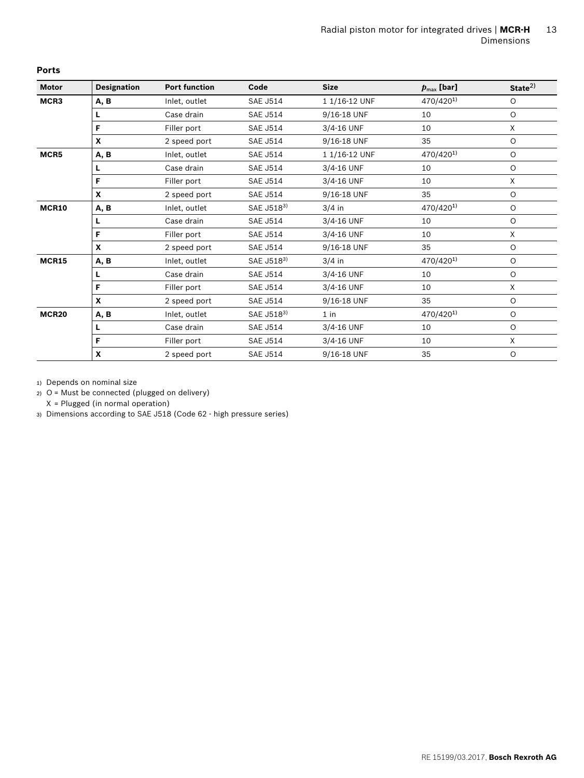| <b>Motor</b> | <b>Designation</b> | <b>Port function</b> | Code            | <b>Size</b>   | $p_{\text{max}}$ [bar] | State <sup>2</sup> |
|--------------|--------------------|----------------------|-----------------|---------------|------------------------|--------------------|
| MCR3         | A, B               | Inlet, outlet        | <b>SAE J514</b> | 1 1/16-12 UNF | 470/420 <sup>1)</sup>  | $\circ$            |
|              | L                  | Case drain           | <b>SAE J514</b> | 9/16-18 UNF   | 10                     | $\circ$            |
|              | F                  | Filler port          | <b>SAE J514</b> | 3/4-16 UNF    | 10                     | X                  |
|              | $\mathbf{x}$       | 2 speed port         | <b>SAE J514</b> | 9/16-18 UNF   | 35                     | $\circ$            |
| MCR5         | A, B               | Inlet, outlet        | <b>SAE J514</b> | 1 1/16-12 UNF | 470/4201)              | $\circ$            |
|              | L                  | Case drain           | <b>SAE J514</b> | 3/4-16 UNF    | 10                     | $\circ$            |
|              | F                  | Filler port          | <b>SAE J514</b> | 3/4-16 UNF    | 10                     | $\times$           |
|              | $\mathbf{x}$       | 2 speed port         | <b>SAE J514</b> | 9/16-18 UNF   | 35                     | $\circ$            |
| MCR10        | A, B               | Inlet, outlet        | SAE J5183)      | $3/4$ in      | 470/4201)              | $\circ$            |
|              | L                  | Case drain           | <b>SAE J514</b> | 3/4-16 UNF    | 10                     | $\circ$            |
|              | F                  | Filler port          | <b>SAE J514</b> | 3/4-16 UNF    | 10                     | $\times$           |
|              | $\mathbf{x}$       | 2 speed port         | <b>SAE J514</b> | 9/16-18 UNF   | 35                     | $\circ$            |
| <b>MCR15</b> | A, B               | Inlet, outlet        | SAE J5183)      | $3/4$ in      | 470/4201)              | $\circ$            |
|              | L                  | Case drain           | <b>SAE J514</b> | 3/4-16 UNF    | 10                     | $\circ$            |
|              | F                  | Filler port          | <b>SAE J514</b> | 3/4-16 UNF    | 10                     | X                  |
|              | $\mathbf{x}$       | 2 speed port         | <b>SAE J514</b> | 9/16-18 UNF   | 35                     | $\circ$            |
| <b>MCR20</b> | A, B               | Inlet, outlet        | SAE J5183)      | $1$ in        | 470/4201)              | $\circ$            |
|              | L                  | Case drain           | <b>SAE J514</b> | 3/4-16 UNF    | 10                     | $\circ$            |
|              | F                  | Filler port          | <b>SAE J514</b> | 3/4-16 UNF    | 10                     | X                  |
|              | X                  | 2 speed port         | <b>SAE J514</b> | 9/16-18 UNF   | 35                     | $\circ$            |

**Ports**

1) Depends on nominal size

2) O = Must be connected (plugged on delivery)

X = Plugged (in normal operation)

3) Dimensions according to SAE J518 (Code 62 - high pressure series)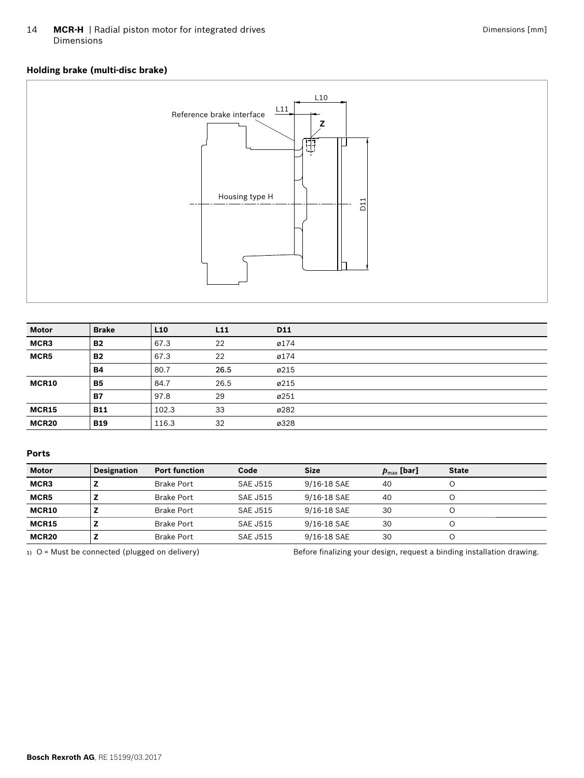14 **MCR-H** | Radial piston motor for integrated drives Dimensions

# **Holding brake (multi-disc brake)**



| <b>Motor</b> | <b>Brake</b> | L <sub>10</sub> | L11  | D11  |
|--------------|--------------|-----------------|------|------|
| MCR3         | <b>B2</b>    | 67.3            | 22   | ø174 |
| MCR5         | <b>B2</b>    | 67.3            | 22   | ø174 |
|              | <b>B4</b>    | 80.7            | 26.5 | ø215 |
| MCR10        | <b>B5</b>    | 84.7            | 26.5 | ø215 |
|              | <b>B7</b>    | 97.8            | 29   | ø251 |
| MCR15        | <b>B11</b>   | 102.3           | 33   | ø282 |
| MCR20        | <b>B19</b>   | 116.3           | 32   | ø328 |

#### **Ports**

| <b>Motor</b>      | <b>Designation</b> | <b>Port function</b> | Code            | <b>Size</b> | $p_{\text{max}}$ [bar] | <b>State</b> |
|-------------------|--------------------|----------------------|-----------------|-------------|------------------------|--------------|
| MCR3              |                    | <b>Brake Port</b>    | <b>SAE J515</b> | 9/16-18 SAE | 40                     |              |
| MCR5              |                    | <b>Brake Port</b>    | SAF J515        | 9/16-18 SAE | 40                     |              |
| MCR10             |                    | <b>Brake Port</b>    | <b>SAE J515</b> | 9/16-18 SAE | 30                     |              |
| <b>MCR15</b>      |                    | <b>Brake Port</b>    | SAF J515        | 9/16-18 SAE | 30                     |              |
| MCR <sub>20</sub> |                    | <b>Brake Port</b>    | <b>SAE J515</b> | 9/16-18 SAE | 30                     |              |

1) O = Must be connected (plugged on delivery) Before finalizing your design, request a binding installation drawing.